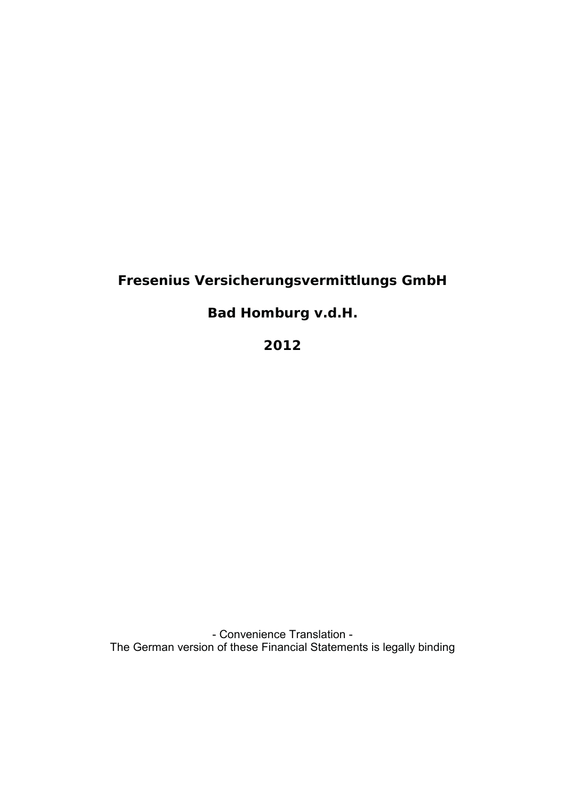# **Fresenius Versicherungsvermittlungs GmbH**

**Bad Homburg v.d.H.**

**2012** 

- Convenience Translation -The German version of these Financial Statements is legally binding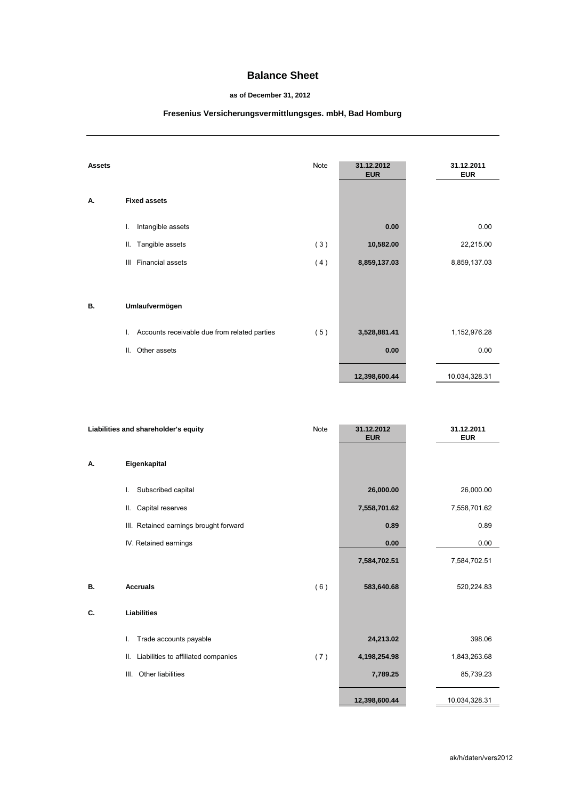## **Balance Sheet**

#### **as of December 31, 2012**

# **Fresenius Versicherungsvermittlungsges. mbH, Bad Homburg**

| Assets |                                                    | Note | 31.12.2012<br><b>EUR</b> | 31.12.2011<br><b>EUR</b> |
|--------|----------------------------------------------------|------|--------------------------|--------------------------|
| А.     | <b>Fixed assets</b>                                |      |                          |                          |
|        | Intangible assets<br>L.                            |      | 0.00                     | 0.00                     |
|        | Tangible assets<br>Ш.                              | (3)  | 10,582.00                | 22,215.00                |
|        | Financial assets<br>Ш                              | (4)  | 8,859,137.03             | 8,859,137.03             |
|        |                                                    |      |                          |                          |
| В.     | Umlaufvermögen                                     |      |                          |                          |
|        | Accounts receivable due from related parties<br>L. | (5)  | 3,528,881.41             | 1,152,976.28             |
|        | Other assets<br>Ш.                                 |      | 0.00                     | 0.00                     |
|        |                                                    |      | 12,398,600.44            | 10,034,328.31            |

| Liabilities and shareholder's equity |                                           | Note | 31.12.2012<br><b>EUR</b> | 31.12.2011<br><b>EUR</b> |
|--------------------------------------|-------------------------------------------|------|--------------------------|--------------------------|
| А.                                   | Eigenkapital                              |      |                          |                          |
|                                      | Subscribed capital<br>L.                  |      | 26,000.00                | 26,000.00                |
|                                      | Capital reserves<br>Ш.                    |      | 7,558,701.62             | 7,558,701.62             |
|                                      | III. Retained earnings brought forward    |      | 0.89                     | 0.89                     |
|                                      | IV. Retained earnings                     |      | 0.00                     | 0.00                     |
|                                      |                                           |      | 7,584,702.51             | 7,584,702.51             |
| В.                                   | <b>Accruals</b>                           | (6)  | 583,640.68               | 520,224.83               |
| C.                                   | <b>Liabilities</b>                        |      |                          |                          |
|                                      | Trade accounts payable<br>I.              |      | 24,213.02                | 398.06                   |
|                                      | Liabilities to affiliated companies<br>Ш. | (7)  | 4,198,254.98             | 1,843,263.68             |
|                                      | III.<br>Other liabilities                 |      | 7,789.25                 | 85,739.23                |
|                                      |                                           |      | 12,398,600.44            | 10,034,328.31            |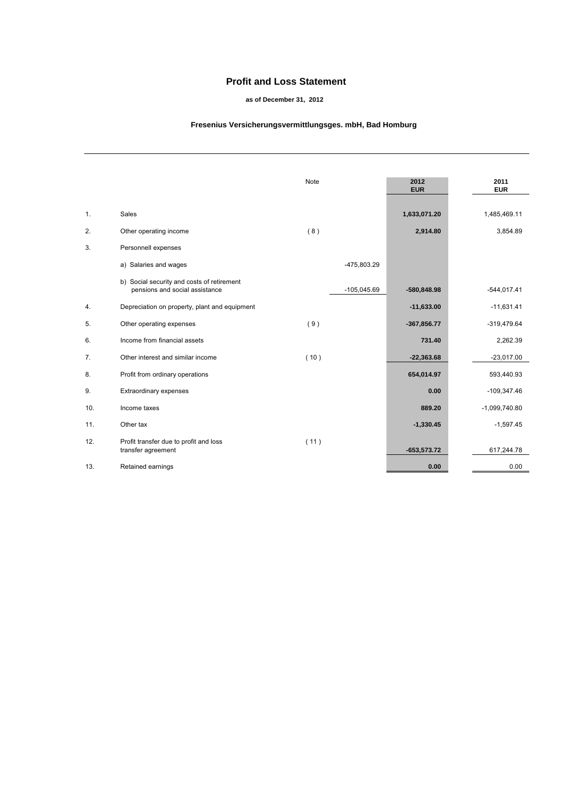## **Profit and Loss Statement**

#### **as of December 31, 2012**

#### **Fresenius Versicherungsvermittlungsges. mbH, Bad Homburg**

|     |                                                                              | Note |               | 2012<br><b>EUR</b> | 2011<br><b>EUR</b> |
|-----|------------------------------------------------------------------------------|------|---------------|--------------------|--------------------|
| 1.  | Sales                                                                        |      |               | 1,633,071.20       | 1,485,469.11       |
| 2.  | Other operating income                                                       | (8)  |               | 2,914.80           | 3,854.89           |
| 3.  | Personnell expenses                                                          |      |               |                    |                    |
|     | a) Salaries and wages                                                        |      | -475,803.29   |                    |                    |
|     | b) Social security and costs of retirement<br>pensions and social assistance |      | $-105,045.69$ | $-580,848.98$      | $-544,017.41$      |
| 4.  | Depreciation on property, plant and equipment                                |      |               | $-11,633.00$       | $-11,631.41$       |
| 5.  | Other operating expenses                                                     | (9)  |               | $-367,856.77$      | $-319,479.64$      |
| 6.  | Income from financial assets                                                 |      |               | 731.40             | 2,262.39           |
| 7.  | Other interest and similar income                                            | (10) |               | $-22,363.68$       | $-23,017.00$       |
| 8.  | Profit from ordinary operations                                              |      |               | 654,014.97         | 593,440.93         |
| 9.  | Extraordinary expenses                                                       |      |               | 0.00               | $-109,347.46$      |
| 10. | Income taxes                                                                 |      |               | 889.20             | $-1,099,740.80$    |
| 11. | Other tax                                                                    |      |               | $-1,330.45$        | $-1,597.45$        |
| 12. | Profit transfer due to profit and loss<br>transfer agreement                 | (11) |               | $-653,573.72$      | 617,244.78         |
| 13. | Retained earnings                                                            |      |               | 0.00               | 0.00               |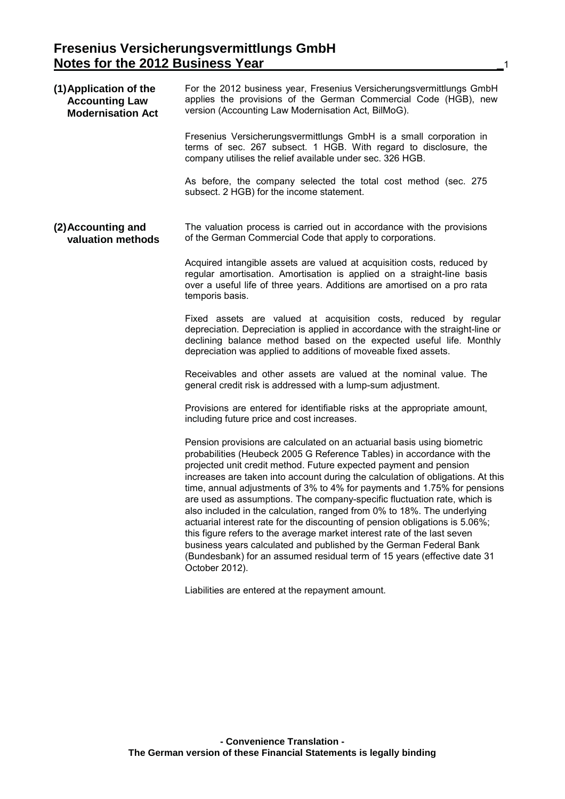| (1) Application of the<br><b>Accounting Law</b><br><b>Modernisation Act</b> | For the 2012 business year, Fresenius Versicherungsvermittlungs GmbH<br>applies the provisions of the German Commercial Code (HGB), new<br>version (Accounting Law Modernisation Act, BilMoG).                                                                                                                                                                                                                                                                                                                                                                                                                                                                                                                                                                                                                                                                               |
|-----------------------------------------------------------------------------|------------------------------------------------------------------------------------------------------------------------------------------------------------------------------------------------------------------------------------------------------------------------------------------------------------------------------------------------------------------------------------------------------------------------------------------------------------------------------------------------------------------------------------------------------------------------------------------------------------------------------------------------------------------------------------------------------------------------------------------------------------------------------------------------------------------------------------------------------------------------------|
|                                                                             | Fresenius Versicherungsvermittlungs GmbH is a small corporation in<br>terms of sec. 267 subsect. 1 HGB. With regard to disclosure, the<br>company utilises the relief available under sec. 326 HGB.                                                                                                                                                                                                                                                                                                                                                                                                                                                                                                                                                                                                                                                                          |
|                                                                             | As before, the company selected the total cost method (sec. 275<br>subsect. 2 HGB) for the income statement.                                                                                                                                                                                                                                                                                                                                                                                                                                                                                                                                                                                                                                                                                                                                                                 |
| (2) Accounting and<br>valuation methods                                     | The valuation process is carried out in accordance with the provisions<br>of the German Commercial Code that apply to corporations.                                                                                                                                                                                                                                                                                                                                                                                                                                                                                                                                                                                                                                                                                                                                          |
|                                                                             | Acquired intangible assets are valued at acquisition costs, reduced by<br>regular amortisation. Amortisation is applied on a straight-line basis<br>over a useful life of three years. Additions are amortised on a pro rata<br>temporis basis.                                                                                                                                                                                                                                                                                                                                                                                                                                                                                                                                                                                                                              |
|                                                                             | Fixed assets are valued at acquisition costs, reduced by regular<br>depreciation. Depreciation is applied in accordance with the straight-line or<br>declining balance method based on the expected useful life. Monthly<br>depreciation was applied to additions of moveable fixed assets.                                                                                                                                                                                                                                                                                                                                                                                                                                                                                                                                                                                  |
|                                                                             | Receivables and other assets are valued at the nominal value. The<br>general credit risk is addressed with a lump-sum adjustment.                                                                                                                                                                                                                                                                                                                                                                                                                                                                                                                                                                                                                                                                                                                                            |
|                                                                             | Provisions are entered for identifiable risks at the appropriate amount,<br>including future price and cost increases.                                                                                                                                                                                                                                                                                                                                                                                                                                                                                                                                                                                                                                                                                                                                                       |
|                                                                             | Pension provisions are calculated on an actuarial basis using biometric<br>probabilities (Heubeck 2005 G Reference Tables) in accordance with the<br>projected unit credit method. Future expected payment and pension<br>increases are taken into account during the calculation of obligations. At this<br>time, annual adjustments of 3% to 4% for payments and 1.75% for pensions<br>are used as assumptions. The company-specific fluctuation rate, which is<br>also included in the calculation, ranged from 0% to 18%. The underlying<br>actuarial interest rate for the discounting of pension obligations is 5.06%;<br>this figure refers to the average market interest rate of the last seven<br>business years calculated and published by the German Federal Bank<br>(Bundesbank) for an assumed residual term of 15 years (effective date 31<br>October 2012). |
|                                                                             | Liabilities are entered at the repayment amount.                                                                                                                                                                                                                                                                                                                                                                                                                                                                                                                                                                                                                                                                                                                                                                                                                             |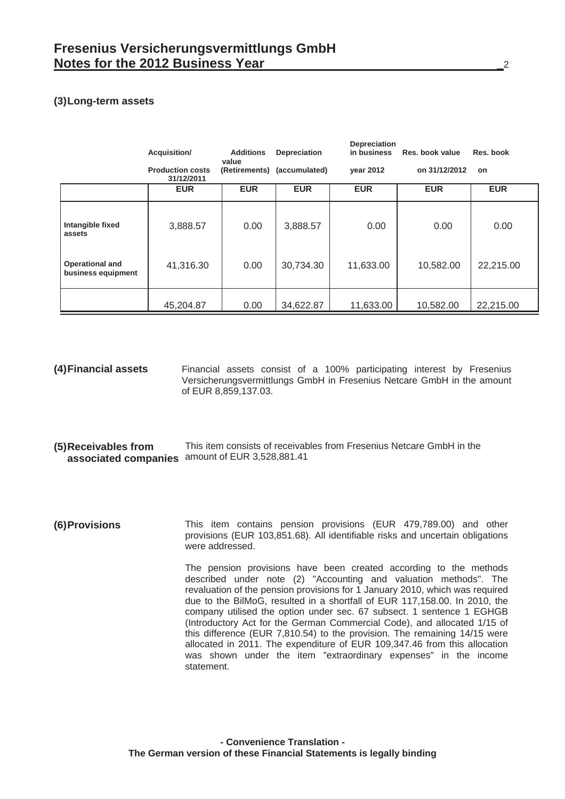# **(3) Long-term assets**

|                                              | Acquisition/                          | <b>Additions</b><br>value | Depreciation                | <b>Depreciation</b><br>in business | Res. book value | Res. book  |
|----------------------------------------------|---------------------------------------|---------------------------|-----------------------------|------------------------------------|-----------------|------------|
|                                              | <b>Production costs</b><br>31/12/2011 |                           | (Retirements) (accumulated) | vear 2012                          | on 31/12/2012   | on         |
|                                              | <b>EUR</b>                            | <b>EUR</b>                | <b>EUR</b>                  | <b>EUR</b>                         | <b>EUR</b>      | <b>EUR</b> |
| Intangible fixed<br>assets                   | 3,888.57                              | 0.00                      | 3,888.57                    | 0.00                               | 0.00            | 0.00       |
| <b>Operational and</b><br>business equipment | 41,316.30                             | 0.00                      | 30,734.30                   | 11,633.00                          | 10,582.00       | 22,215.00  |
|                                              | 45,204.87                             | 0.00                      | 34,622.87                   | 11,633.00                          | 10,582.00       | 22,215.00  |

**(4) Financial assets** Financial assets consist of a 100% participating interest by Fresenius Versicherungsvermittlungs GmbH in Fresenius Netcare GmbH in the amount of EUR 8,859,137.03.

- **(5) Receivables from associated companies** amount of EUR 3,528,881.41 This item consists of receivables from Fresenius Netcare GmbH in the
- **(6) Provisions** This item contains pension provisions (EUR 479,789.00) and other provisions (EUR 103,851.68). All identifiable risks and uncertain obligations were addressed.

The pension provisions have been created according to the methods described under note (2) "Accounting and valuation methods". The revaluation of the pension provisions for 1 January 2010, which was required due to the BilMoG, resulted in a shortfall of EUR 117,158.00. In 2010, the company utilised the option under sec. 67 subsect. 1 sentence 1 EGHGB (Introductory Act for the German Commercial Code), and allocated 1/15 of this difference (EUR 7,810.54) to the provision. The remaining 14/15 were allocated in 2011. The expenditure of EUR 109,347.46 from this allocation was shown under the item "extraordinary expenses" in the income statement.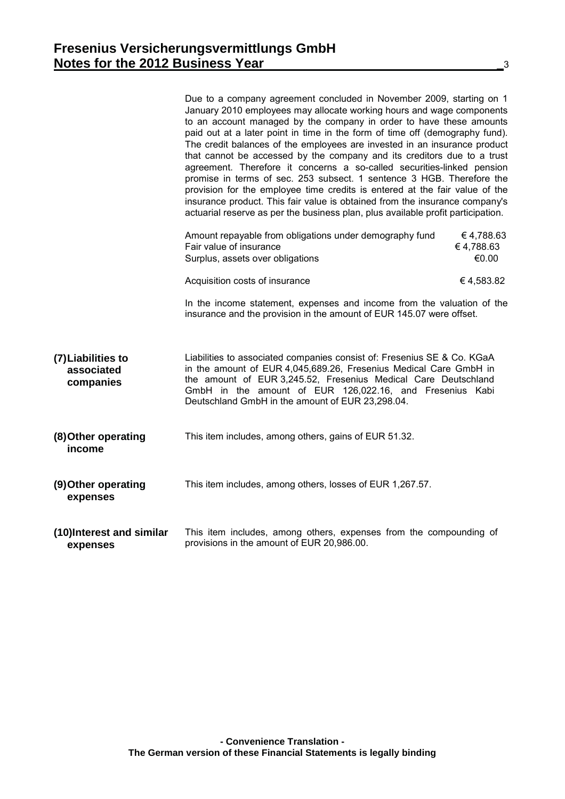|                                               | Due to a company agreement concluded in November 2009, starting on 1<br>January 2010 employees may allocate working hours and wage components<br>to an account managed by the company in order to have these amounts<br>paid out at a later point in time in the form of time off (demography fund).<br>The credit balances of the employees are invested in an insurance product<br>that cannot be accessed by the company and its creditors due to a trust<br>agreement. Therefore it concerns a so-called securities-linked pension<br>promise in terms of sec. 253 subsect. 1 sentence 3 HGB. Therefore the<br>provision for the employee time credits is entered at the fair value of the<br>insurance product. This fair value is obtained from the insurance company's<br>actuarial reserve as per the business plan, plus available profit participation. |                                 |
|-----------------------------------------------|-------------------------------------------------------------------------------------------------------------------------------------------------------------------------------------------------------------------------------------------------------------------------------------------------------------------------------------------------------------------------------------------------------------------------------------------------------------------------------------------------------------------------------------------------------------------------------------------------------------------------------------------------------------------------------------------------------------------------------------------------------------------------------------------------------------------------------------------------------------------|---------------------------------|
|                                               | Amount repayable from obligations under demography fund<br>Fair value of insurance<br>Surplus, assets over obligations                                                                                                                                                                                                                                                                                                                                                                                                                                                                                                                                                                                                                                                                                                                                            | €4,788.63<br>€4,788.63<br>€0.00 |
|                                               | Acquisition costs of insurance                                                                                                                                                                                                                                                                                                                                                                                                                                                                                                                                                                                                                                                                                                                                                                                                                                    | €4,583.82                       |
|                                               | In the income statement, expenses and income from the valuation of the<br>insurance and the provision in the amount of EUR 145.07 were offset.                                                                                                                                                                                                                                                                                                                                                                                                                                                                                                                                                                                                                                                                                                                    |                                 |
| (7) Liabilities to<br>associated<br>companies | Liabilities to associated companies consist of: Fresenius SE & Co. KGaA<br>in the amount of EUR 4,045,689.26, Fresenius Medical Care GmbH in<br>the amount of EUR 3,245.52, Fresenius Medical Care Deutschland<br>GmbH in the amount of EUR 126,022.16, and Fresenius Kabi<br>Deutschland GmbH in the amount of EUR 23,298.04.                                                                                                                                                                                                                                                                                                                                                                                                                                                                                                                                    |                                 |
| (8) Other operating<br>income                 | This item includes, among others, gains of EUR 51.32.                                                                                                                                                                                                                                                                                                                                                                                                                                                                                                                                                                                                                                                                                                                                                                                                             |                                 |
| (9) Other operating<br>expenses               | This item includes, among others, losses of EUR 1,267.57.                                                                                                                                                                                                                                                                                                                                                                                                                                                                                                                                                                                                                                                                                                                                                                                                         |                                 |
| (10)Interest and similar<br>expenses          | This item includes, among others, expenses from the compounding of<br>provisions in the amount of EUR 20,986.00.                                                                                                                                                                                                                                                                                                                                                                                                                                                                                                                                                                                                                                                                                                                                                  |                                 |